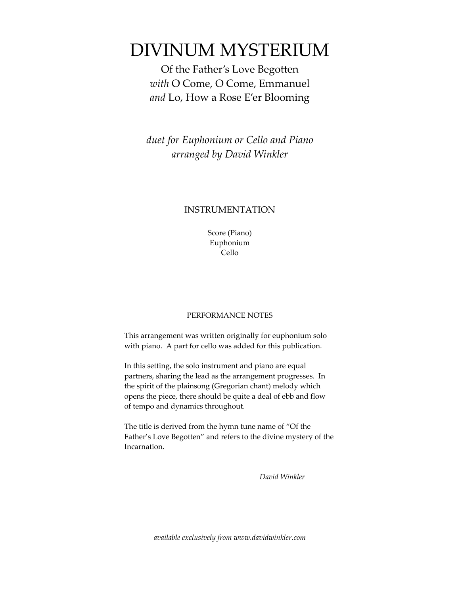## DIVINUM MYSTERIUM

Of the Father's Love Begotten *with* O Come, O Come, Emmanuel *and* Lo, How a Rose E'er Blooming

*duet for Euphonium or Cello and Piano arranged by David Winkler*

### INSTRUMENTATION

Score (Piano) Euphonium Cello

#### PERFORMANCE NOTES

This arrangement was written originally for euphonium solo with piano. A part for cello was added for this publication.

In this setting, the solo instrument and piano are equal partners, sharing the lead as the arrangement progresses. In the spirit of the plainsong (Gregorian chant) melody which opens the piece, there should be quite a deal of ebb and flow of tempo and dynamics throughout.

The title is derived from the hymn tune name of "Of the Father's Love Begotten" and refers to the divine mystery of the Incarnation.

*David Winkler*

*available exclusively from www.davidwinkler.com*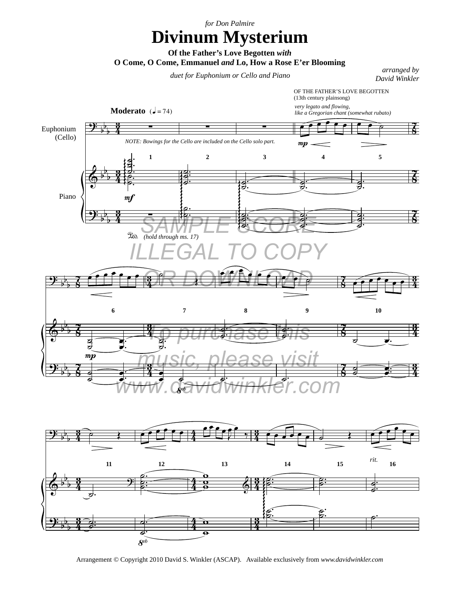*for Don Palmire*

# **Divinum Mysterium**

**Of the Father's Love Begotten** *with* 

**O Come, O Come, Emmanuel** *and* **Lo, How a Rose E'er Blooming**

### *duet for Euphonium or Cello and Piano arranged by a rranged by a rranged by a rranged by a rranged by a real mass of the street of the street of the street of the street of the street of the street of the street of the*

*David Winkler*





Arrangement © Copyright 2010 David S. Winkler (ASCAP). Available exclusively from *www.davidwinkler.com*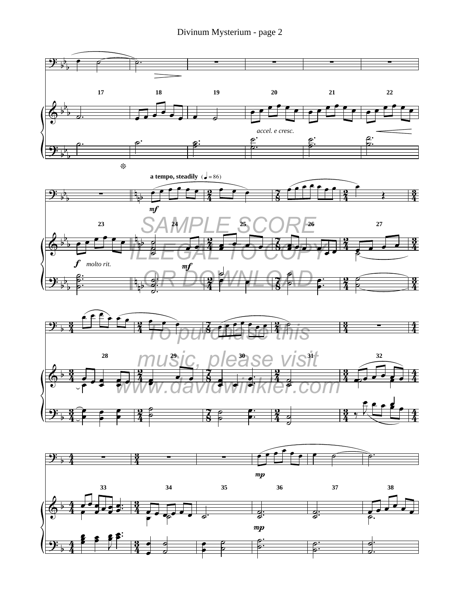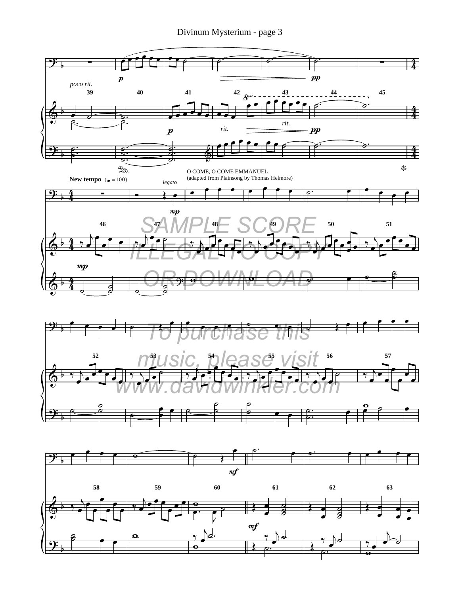Divinum Mysterium - page 3



 $\overline{e}$  $\frac{2}{5}$  $\boldsymbol{\Omega}$  $\overline{\bullet}$  $\gamma$ <u>խ</u>∤.  $\Box$  $y \, \searrow$ ˙.  $\frac{Q}{\frac{1}{2}Q}$  $\frac{\partial}{\partial t}$ ˙.  $\frac{y}{x}$  $\overline{b}$  $\frac{1}{\frac{1}{x} + \frac{1}{x}}$ 

<u>.</u>

b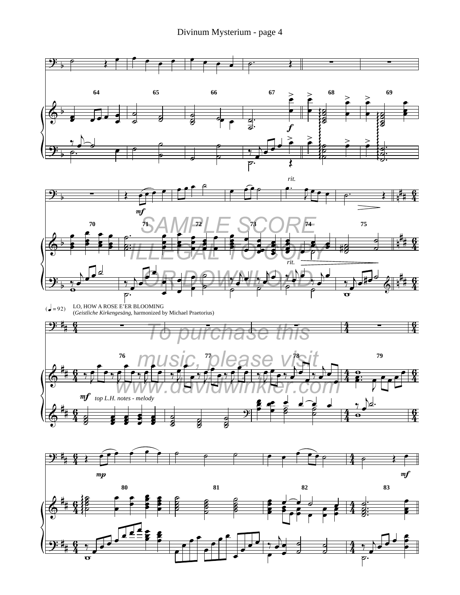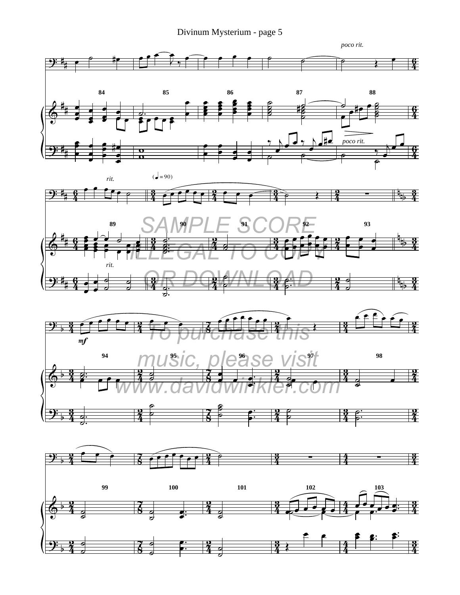Divinum Mysterium - page 5